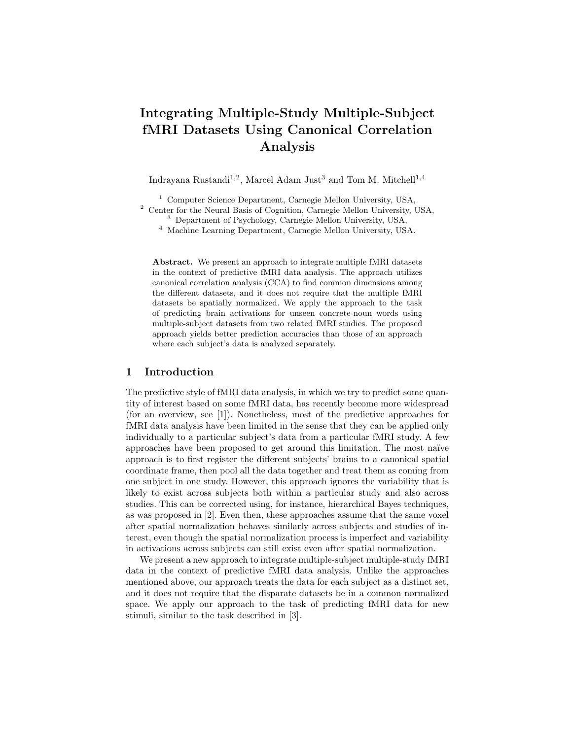# Integrating Multiple-Study Multiple-Subject fMRI Datasets Using Canonical Correlation Analysis

Indrayana Rustandi<sup>1,2</sup>, Marcel Adam Just<sup>3</sup> and Tom M. Mitchell<sup>1,4</sup>

<sup>1</sup> Computer Science Department, Carnegie Mellon University, USA,

<sup>2</sup> Center for the Neural Basis of Cognition, Carnegie Mellon University, USA,

<sup>3</sup> Department of Psychology, Carnegie Mellon University, USA,

<sup>4</sup> Machine Learning Department, Carnegie Mellon University, USA.

Abstract. We present an approach to integrate multiple fMRI datasets in the context of predictive fMRI data analysis. The approach utilizes canonical correlation analysis (CCA) to find common dimensions among the different datasets, and it does not require that the multiple fMRI datasets be spatially normalized. We apply the approach to the task of predicting brain activations for unseen concrete-noun words using multiple-subject datasets from two related fMRI studies. The proposed approach yields better prediction accuracies than those of an approach where each subject's data is analyzed separately.

## 1 Introduction

The predictive style of fMRI data analysis, in which we try to predict some quantity of interest based on some fMRI data, has recently become more widespread (for an overview, see [1]). Nonetheless, most of the predictive approaches for fMRI data analysis have been limited in the sense that they can be applied only individually to a particular subject's data from a particular fMRI study. A few approaches have been proposed to get around this limitation. The most na¨ıve approach is to first register the different subjects' brains to a canonical spatial coordinate frame, then pool all the data together and treat them as coming from one subject in one study. However, this approach ignores the variability that is likely to exist across subjects both within a particular study and also across studies. This can be corrected using, for instance, hierarchical Bayes techniques, as was proposed in [2]. Even then, these approaches assume that the same voxel after spatial normalization behaves similarly across subjects and studies of interest, even though the spatial normalization process is imperfect and variability in activations across subjects can still exist even after spatial normalization.

We present a new approach to integrate multiple-subject multiple-study fMRI data in the context of predictive fMRI data analysis. Unlike the approaches mentioned above, our approach treats the data for each subject as a distinct set, and it does not require that the disparate datasets be in a common normalized space. We apply our approach to the task of predicting fMRI data for new stimuli, similar to the task described in [3].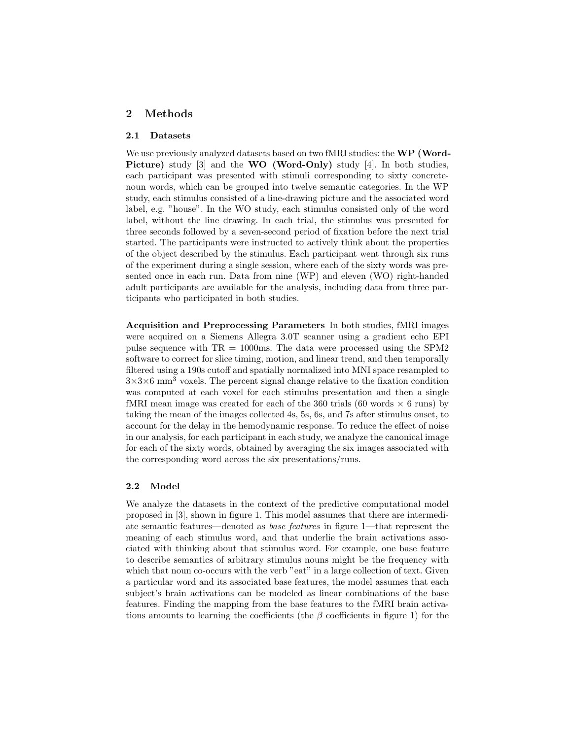# 2 Methods

#### 2.1 Datasets

We use previously analyzed datasets based on two fMRI studies: the WP (Word-Picture) study [3] and the **WO** (**Word-Only**) study [4]. In both studies, each participant was presented with stimuli corresponding to sixty concretenoun words, which can be grouped into twelve semantic categories. In the WP study, each stimulus consisted of a line-drawing picture and the associated word label, e.g. "house". In the WO study, each stimulus consisted only of the word label, without the line drawing. In each trial, the stimulus was presented for three seconds followed by a seven-second period of fixation before the next trial started. The participants were instructed to actively think about the properties of the object described by the stimulus. Each participant went through six runs of the experiment during a single session, where each of the sixty words was presented once in each run. Data from nine (WP) and eleven (WO) right-handed adult participants are available for the analysis, including data from three participants who participated in both studies.

Acquisition and Preprocessing Parameters In both studies, fMRI images were acquired on a Siemens Allegra 3.0T scanner using a gradient echo EPI pulse sequence with  $TR = 1000$ ms. The data were processed using the SPM2 software to correct for slice timing, motion, and linear trend, and then temporally filtered using a 190s cutoff and spatially normalized into MNI space resampled to  $3\times3\times6$  mm<sup>3</sup> voxels. The percent signal change relative to the fixation condition was computed at each voxel for each stimulus presentation and then a single fMRI mean image was created for each of the 360 trials (60 words  $\times$  6 runs) by taking the mean of the images collected 4s, 5s, 6s, and 7s after stimulus onset, to account for the delay in the hemodynamic response. To reduce the effect of noise in our analysis, for each participant in each study, we analyze the canonical image for each of the sixty words, obtained by averaging the six images associated with the corresponding word across the six presentations/runs.

#### 2.2 Model

We analyze the datasets in the context of the predictive computational model proposed in [3], shown in figure 1. This model assumes that there are intermediate semantic features—denoted as base features in figure 1—that represent the meaning of each stimulus word, and that underlie the brain activations associated with thinking about that stimulus word. For example, one base feature to describe semantics of arbitrary stimulus nouns might be the frequency with which that noun co-occurs with the verb "eat" in a large collection of text. Given a particular word and its associated base features, the model assumes that each subject's brain activations can be modeled as linear combinations of the base features. Finding the mapping from the base features to the fMRI brain activations amounts to learning the coefficients (the  $\beta$  coefficients in figure 1) for the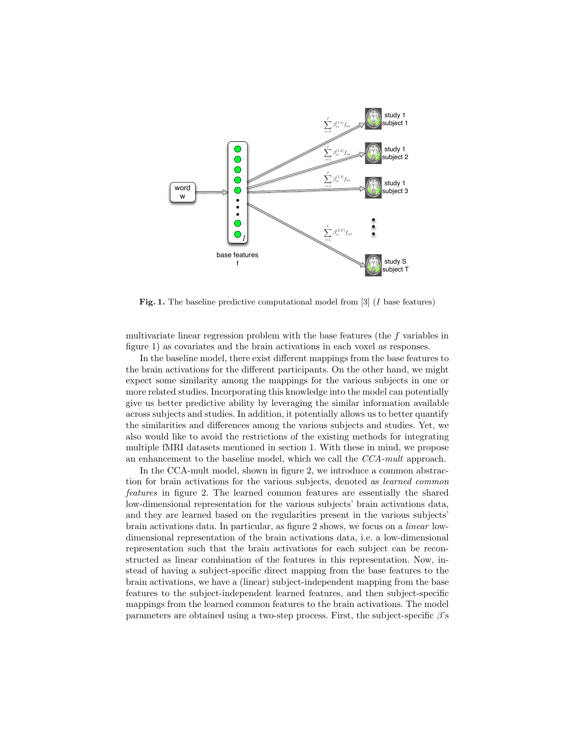

**Fig. 1.** The baseline predictive computational model from  $\begin{bmatrix} 3 \end{bmatrix}$  (*I* base features)

multivariate linear regression problem with the base features (the f variables in figure 1) as covariates and the brain activations in each voxel as responses.

In the baseline model, there exist different mappings from the base features to the brain activations for the different participants. On the other hand, we might expect some similarity among the mappings for the various subjects in one or more related studies. Incorporating this knowledge into the model can potentially give us better predictive ability by leveraging the similar information available across subjects and studies. In addition, it potentially allows us to better quantify the similarities and differences among the various subjects and studies. Yet, we also would like to avoid the restrictions of the existing methods for integrating multiple fMRI datasets mentioned in section 1. With these in mind, we propose an enhancement to the baseline model, which we call the CCA-mult approach.

In the CCA-mult model, shown in figure 2, we introduce a common abstraction for brain activations for the various subjects, denoted as learned common features in figure 2. The learned common features are essentially the shared low-dimensional representation for the various subjects' brain activations data, and they are learned based on the regularities present in the various subjects' brain activations data. In particular, as figure 2 shows, we focus on a linear lowdimensional representation of the brain activations data, i.e. a low-dimensional representation such that the brain activations for each subject can be reconstructed as linear combination of the features in this representation. Now, instead of having a subject-specific direct mapping from the base features to the brain activations, we have a (linear) subject-independent mapping from the base features to the subject-independent learned features, and then subject-specific mappings from the learned common features to the brain activations. The model parameters are obtained using a two-step process. First, the subject-specific  $\beta$ 's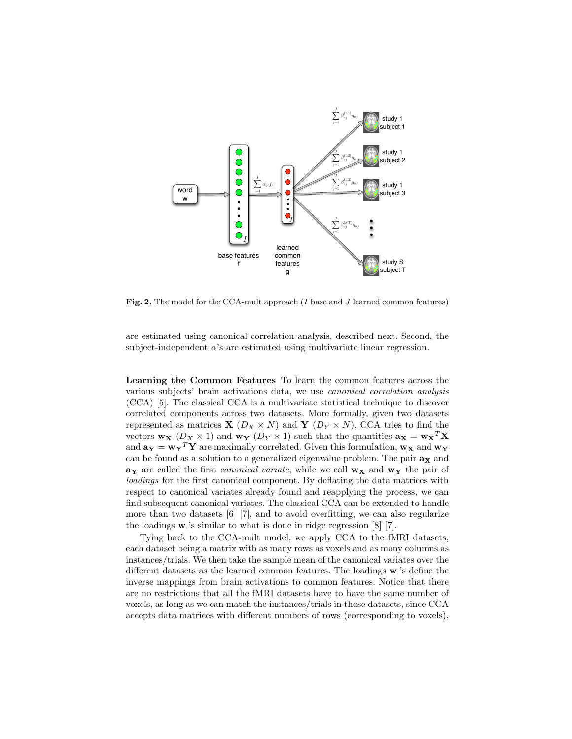

Fig. 2. The model for the CCA-mult approach (I base and J learned common features)

are estimated using canonical correlation analysis, described next. Second, the subject-independent  $\alpha$ 's are estimated using multivariate linear regression.

Learning the Common Features To learn the common features across the various subjects' brain activations data, we use canonical correlation analysis (CCA) [5]. The classical CCA is a multivariate statistical technique to discover correlated components across two datasets. More formally, given two datasets represented as matrices **X** ( $D_X \times N$ ) and **Y** ( $D_Y \times N$ ), CCA tries to find the vectors  $\mathbf{w}_\mathbf{X}$  ( $D_X \times 1$ ) and  $\mathbf{w}_\mathbf{Y}$  ( $D_Y \times 1$ ) such that the quantities  $\mathbf{a}_\mathbf{X} = \mathbf{w}_\mathbf{X}^T \mathbf{X}$ and  $\mathbf{a_Y} = \mathbf{w_Y}^T \mathbf{Y}$  are maximally correlated. Given this formulation,  $\mathbf{w_X}$  and  $\mathbf{w_Y}$ can be found as a solution to a generalized eigenvalue problem. The pair  $a_X$  and  $\mathbf{a}_{\mathbf{Y}}$  are called the first *canonical variate*, while we call  $\mathbf{w}_{\mathbf{X}}$  and  $\mathbf{w}_{\mathbf{Y}}$  the pair of loadings for the first canonical component. By deflating the data matrices with respect to canonical variates already found and reapplying the process, we can find subsequent canonical variates. The classical CCA can be extended to handle more than two datasets  $[6]$   $[7]$ , and to avoid overfitting, we can also regularize the loadings  $w$  's similar to what is done in ridge regression  $[8]$  [7].

Tying back to the CCA-mult model, we apply CCA to the fMRI datasets, each dataset being a matrix with as many rows as voxels and as many columns as instances/trials. We then take the sample mean of the canonical variates over the different datasets as the learned common features. The loadings **w**.'s define the inverse mappings from brain activations to common features. Notice that there are no restrictions that all the fMRI datasets have to have the same number of voxels, as long as we can match the instances/trials in those datasets, since CCA accepts data matrices with different numbers of rows (corresponding to voxels),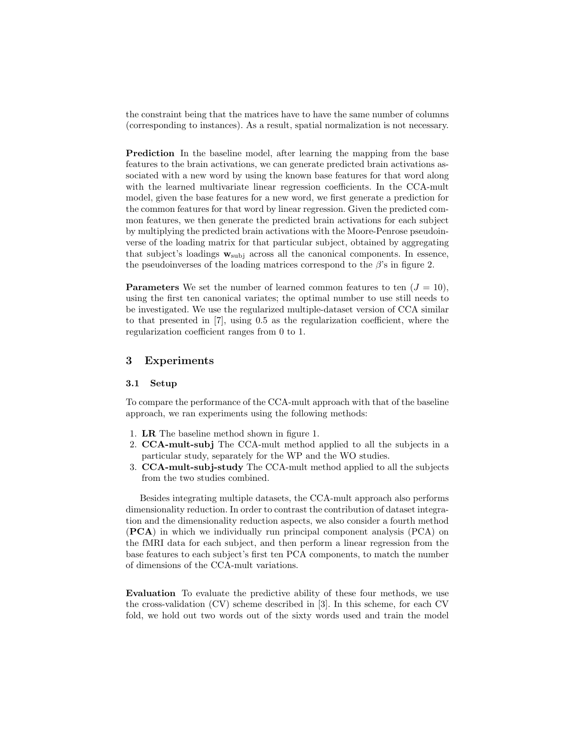the constraint being that the matrices have to have the same number of columns (corresponding to instances). As a result, spatial normalization is not necessary.

Prediction In the baseline model, after learning the mapping from the base features to the brain activations, we can generate predicted brain activations associated with a new word by using the known base features for that word along with the learned multivariate linear regression coefficients. In the CCA-mult model, given the base features for a new word, we first generate a prediction for the common features for that word by linear regression. Given the predicted common features, we then generate the predicted brain activations for each subject by multiplying the predicted brain activations with the Moore-Penrose pseudoinverse of the loading matrix for that particular subject, obtained by aggregating that subject's loadings  $\mathbf{w}_{\text{subj}}$  across all the canonical components. In essence, the pseudoinverses of the loading matrices correspond to the  $\beta$ 's in figure 2.

**Parameters** We set the number of learned common features to ten  $(J = 10)$ , using the first ten canonical variates; the optimal number to use still needs to be investigated. We use the regularized multiple-dataset version of CCA similar to that presented in [7], using 0.5 as the regularization coefficient, where the regularization coefficient ranges from 0 to 1.

## 3 Experiments

#### 3.1 Setup

To compare the performance of the CCA-mult approach with that of the baseline approach, we ran experiments using the following methods:

- 1. LR The baseline method shown in figure 1.
- 2. CCA-mult-subj The CCA-mult method applied to all the subjects in a particular study, separately for the WP and the WO studies.
- 3. CCA-mult-subj-study The CCA-mult method applied to all the subjects from the two studies combined.

Besides integrating multiple datasets, the CCA-mult approach also performs dimensionality reduction. In order to contrast the contribution of dataset integration and the dimensionality reduction aspects, we also consider a fourth method (PCA) in which we individually run principal component analysis (PCA) on the fMRI data for each subject, and then perform a linear regression from the base features to each subject's first ten PCA components, to match the number of dimensions of the CCA-mult variations.

Evaluation To evaluate the predictive ability of these four methods, we use the cross-validation (CV) scheme described in [3]. In this scheme, for each CV fold, we hold out two words out of the sixty words used and train the model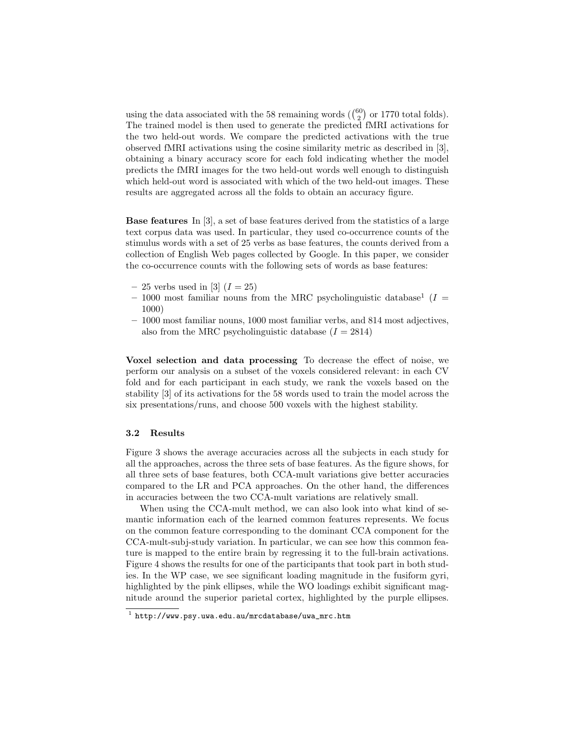using the data associated with the 58 remaining words  $\binom{60}{2}$  or 1770 total folds). The trained model is then used to generate the predicted fMRI activations for the two held-out words. We compare the predicted activations with the true observed fMRI activations using the cosine similarity metric as described in [3], obtaining a binary accuracy score for each fold indicating whether the model predicts the fMRI images for the two held-out words well enough to distinguish which held-out word is associated with which of the two held-out images. These results are aggregated across all the folds to obtain an accuracy figure.

Base features In [3], a set of base features derived from the statistics of a large text corpus data was used. In particular, they used co-occurrence counts of the stimulus words with a set of 25 verbs as base features, the counts derived from a collection of English Web pages collected by Google. In this paper, we consider the co-occurrence counts with the following sets of words as base features:

- 25 verbs used in [3]  $(I = 25)$
- $-1000$  most familiar nouns from the MRC psycholinguistic database<sup>1</sup> ( $I =$ 1000)
- 1000 most familiar nouns, 1000 most familiar verbs, and 814 most adjectives, also from the MRC psycholinguistic database  $(I = 2814)$

Voxel selection and data processing To decrease the effect of noise, we perform our analysis on a subset of the voxels considered relevant: in each CV fold and for each participant in each study, we rank the voxels based on the stability [3] of its activations for the 58 words used to train the model across the six presentations/runs, and choose 500 voxels with the highest stability.

#### 3.2 Results

Figure 3 shows the average accuracies across all the subjects in each study for all the approaches, across the three sets of base features. As the figure shows, for all three sets of base features, both CCA-mult variations give better accuracies compared to the LR and PCA approaches. On the other hand, the differences in accuracies between the two CCA-mult variations are relatively small.

When using the CCA-mult method, we can also look into what kind of semantic information each of the learned common features represents. We focus on the common feature corresponding to the dominant CCA component for the CCA-mult-subj-study variation. In particular, we can see how this common feature is mapped to the entire brain by regressing it to the full-brain activations. Figure 4 shows the results for one of the participants that took part in both studies. In the WP case, we see significant loading magnitude in the fusiform gyri, highlighted by the pink ellipses, while the WO loadings exhibit significant magnitude around the superior parietal cortex, highlighted by the purple ellipses.

 $^{\rm 1}$  http://www.psy.uwa.edu.au/mrcdatabase/uwa\_mrc.htm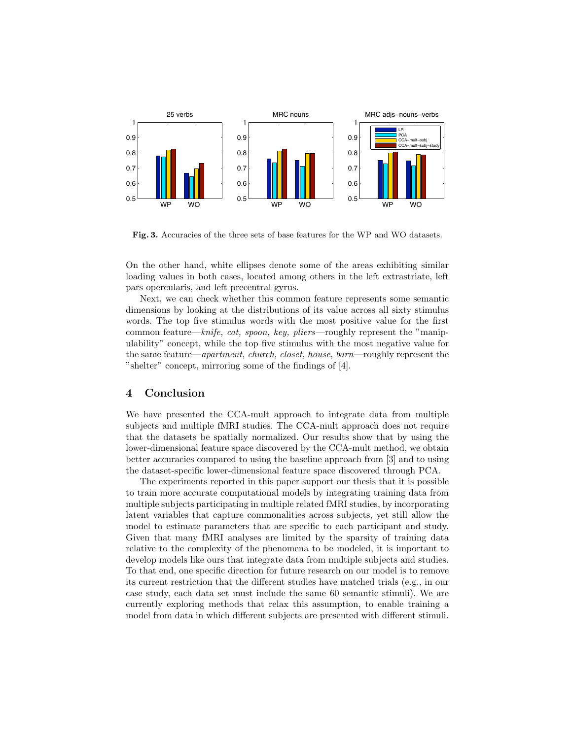

Fig. 3. Accuracies of the three sets of base features for the WP and WO datasets.

On the other hand, white ellipses denote some of the areas exhibiting similar loading values in both cases, located among others in the left extrastriate, left pars opercularis, and left precentral gyrus.

Next, we can check whether this common feature represents some semantic dimensions by looking at the distributions of its value across all sixty stimulus words. The top five stimulus words with the most positive value for the first common feature—knife, cat, spoon, key, pliers—roughly represent the "manipulability" concept, while the top five stimulus with the most negative value for the same feature—apartment, church, closet, house, barn—roughly represent the "shelter" concept, mirroring some of the findings of [4].

### 4 Conclusion

We have presented the CCA-mult approach to integrate data from multiple subjects and multiple fMRI studies. The CCA-mult approach does not require that the datasets be spatially normalized. Our results show that by using the lower-dimensional feature space discovered by the CCA-mult method, we obtain better accuracies compared to using the baseline approach from [3] and to using the dataset-specific lower-dimensional feature space discovered through PCA.

The experiments reported in this paper support our thesis that it is possible to train more accurate computational models by integrating training data from multiple subjects participating in multiple related fMRI studies, by incorporating latent variables that capture commonalities across subjects, yet still allow the model to estimate parameters that are specific to each participant and study. Given that many fMRI analyses are limited by the sparsity of training data relative to the complexity of the phenomena to be modeled, it is important to develop models like ours that integrate data from multiple subjects and studies. To that end, one specific direction for future research on our model is to remove its current restriction that the different studies have matched trials (e.g., in our case study, each data set must include the same 60 semantic stimuli). We are currently exploring methods that relax this assumption, to enable training a model from data in which different subjects are presented with different stimuli.